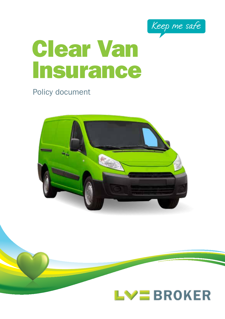

# Clear Van **Insurance**

Policy document



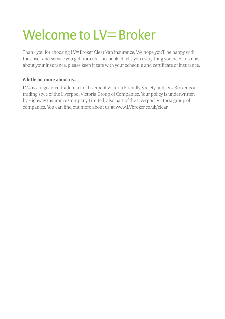# Welcome to LV= Broker

Thank you for choosing LV= Broker Clear Van insurance. We hope you'll be happy with the cover and service you get from us. This booklet tells you everything you need to know about your insurance, please keep it safe with your schedule and certificate of insurance.

#### **A little bit more about us…**

LV= is a registered trademark of Liverpool Victoria Friendly Society and LV= Broker is a trading style of the Liverpool Victoria Group of Companies. Your policy is underwritten by Highway Insurance Company Limited, also part of the Liverpool Victoria group of companies. You can find out more about us at www.LVbroker.co.uk/clear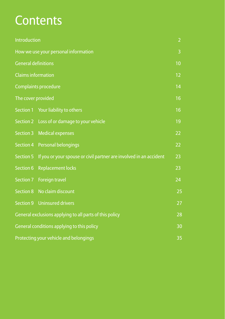## **Contents**

| Introduction                                                                           | $\overline{2}$ |
|----------------------------------------------------------------------------------------|----------------|
| How we use your personal information                                                   | 3              |
| <b>General definitions</b>                                                             | 10             |
| <b>Claims information</b>                                                              | 12             |
| Complaints procedure                                                                   | 14             |
| The cover provided                                                                     | 16             |
| Section 1 Your liability to others                                                     | 16             |
| Loss of or damage to your vehicle<br>Section 2                                         | 19             |
| <b>Section 3</b><br><b>Medical expenses</b>                                            | 22             |
| Section 4<br>Personal belongings                                                       | 22             |
| If you or your spouse or civil partner are involved in an accident<br><b>Section 5</b> | 23             |
| Section 6<br><b>Replacement locks</b>                                                  | 23             |
| <b>Section 7</b><br>Foreign travel                                                     | 24             |
| Section 8<br>No claim discount                                                         | 25             |
| Uninsured drivers<br>Section 9                                                         | 27             |
| General exclusions applying to all parts of this policy                                | 28             |
| General conditions applying to this policy                                             | 30             |
| Protecting your vehicle and belongings                                                 | 35             |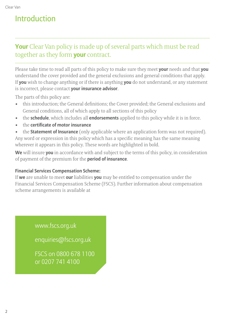### Introduction

### **Your** Clear Van policy is made up of several parts which must be read together as they form **your** contract.

Please take time to read all parts of this policy to make sure they meet **your** needs and that **you** understand the cover provided and the general exclusions and general conditions that apply. If **you** wish to change anything or if there is anything **you** do not understand, or any statement is incorrect, please contact **your insurance advisor**.

The parts of this policy are:

- this introduction; the General definitions; the Cover provided; the General exclusions and General conditions, all of which apply to all sections of this policy
- the **schedule**, which includes all **endorsements** applied to this policy while it is in force.
- the **certificate of motor insurance**
- the **Statement of Insurance** (only applicable where an application form was not required).

Any word or expression in this policy which has a specific meaning has the same meaning wherever it appears in this policy. These words are highlighted in bold.

**We** will insure **you** in accordance with and subject to the terms of this policy, in consideration of payment of the premium for the **period of insurance**.

#### **Financial Services Compensation Scheme:**

If **we** are unable to meet **our** liabilities **you** may be entitled to compensation under the Financial Services Compensation Scheme (FSCS). Further information about compensation scheme arrangements is available at

www.fscs.org.uk

enquiries@fscs.org.uk

FSCS on 0800 678 1100 or 0207 741 4100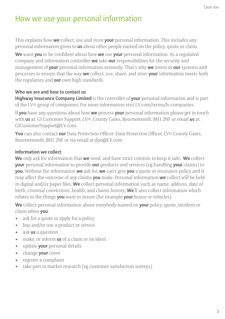### How we use your personal information

This explains how **we** collect, use and store **your** personal information. This includes any personal information given to **us** about other people named on the policy, quote or claim.

**We** want **you** to be confident about how **we** use **your** personal information. As a regulated company and information controller **we** take **our** responsibilities for the security and management of **your** personal information seriously. That's why **we** invest in **our** systems and processes to ensure that the way **we** collect, use, share, and store **your** information meets both the regulatory and **our** own high standards.

#### **Who we are and how to contact us**

**Highway Insurance Company Limited** is the controller of **your** personal information and is part of the LV= group of companies. For more information visit LV.com/terms/lv-companies.

If **you** have any questions about how **we** process **your** personal information please get in touch with **us** at: GI Customer Support, LV=, County Gates, Bournemouth, BH1 2NF or email **us** at: GICustomerSupport@LV.com.

**You** can also contact **our** Data Protection Officer: Data Protection Officer, LV= County Gates, Bournemouth, BH1 2NF or via email at dpo@LV.com.

#### **Information we collect**

**We** only ask for information that **we** need, and have strict controls to keep it safe. **We** collect **your** personal information to provide **our** products and services (eg handling **your** claims) to **you**. Without the information **we** ask for, **we** can't give **you** a quote or insurance policy and it may affect the outcome of any claims **you** make. Personal information **we** collect will be held in digital and/or paper files. **We** collect personal information such as name, address, date of birth, criminal convictions, health, and claims history. **We**'ll also collect information which relates to the things **you** want to insure (for example **your** house or vehicles).

**We** collect personal information about everybody named on **your** policy, quote, incident or claim when **you**:

- ask for a quote or apply for a policy
- buy and/or use a product or service
- ask **us** a question
- make, or inform **us** of a claim or incident
- update **your** personal details
- change **your** cover
- register a complaint
- take part in market research (eg customer satisfaction surveys)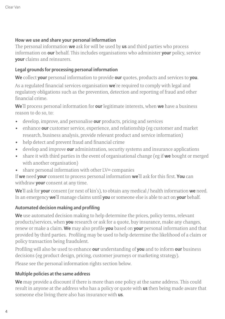#### **How we use and share your personal information**

The personal information **we** ask for will be used by **us** and third parties who process information on **our** behalf. This includes organisations who administer **your** policy, service **your** claims and reinsurers.

#### **Legal grounds for processing personal information**

**We** collect **your** personal information to provide **our** quotes, products and services to **you**.

As a regulated financial services organisation **we**'re required to comply with legal and regulatory obligations such as the prevention, detection and reporting of fraud and other financial crime.

**We**'ll process personal information for **our** legitimate interests, when **we** have a business reason to do so, to:

- develop, improve, and personalise **our** products, pricing and services
- enhance **our** customer service, experience, and relationship (eg customer and market research, business analysis, provide relevant product and service information)
- help detect and prevent fraud and financial crime
- develop and improve **our** administration, security systems and insurance applications
- share it with third parties in the event of organisational change (eg if **we** bought or merged with another organisation)
- share personal information with other LV= companies

If **we** need **your** consent to process personal information **we**'ll ask for this first. **You** can withdraw **your** consent at any time.

**We**'ll ask for **your** consent (or next of kin's), to obtain any medical / health information **we** need. In an emergency **we**'ll manage claims until **you** or someone else is able to act on **your** behalf.

#### **Automated decision making and profiling**

**We** use automated decision making to help determine the prices, policy terms, relevant products/services, when **you** research or ask for a quote, buy insurance, make any changes, renew or make a claim. **We** may also profile **you** based on **your** personal information and that provided by third parties. Profiling may be used to help determine the likelihood of a claim or policy transaction being fraudulent.

Profiling will also be used to enhance **our** understanding of **you** and to inform **our** business decisions (eg product design, pricing, customer journeys or marketing strategy).

Please see the personal information rights section below.

#### **Multiple policies at the same address**

**We** may provide a discount if there is more than one policy at the same address. This could result in anyone at the address who has a policy or quote with **us** then being made aware that someone else living there also has insurance with **us**.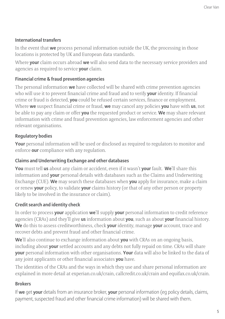#### **International transfers**

In the event that **we** process personal information outside the UK, the processing in those locations is protected by UK and European data standards.

Where **your** claim occurs abroad **we** will also send data to the necessary service providers and agencies as required to service **your** claim.

#### **Financial crime & fraud prevention agencies**

The personal information **we** have collected will be shared with crime prevention agencies who will use it to prevent financial crime and fraud and to verify **your** identity. If financial crime or fraud is detected, **you** could be refused certain services, finance or employment. Where **we** suspect financial crime or fraud, **we** may cancel any policies **you** have with **us**, not be able to pay any claim or offer **you** the requested product or service. **We** may share relevant information with crime and fraud prevention agencies, law enforcement agencies and other relevant organisations.

#### **Regulatory bodies**

**Your** personal information will be used or disclosed as required to regulators to monitor and enforce **our** compliance with any regulation.

#### **Claims and Underwriting Exchange and other databases**

**You** must tell **us** about any claim or accident, even if it wasn't **your** fault. **We**'ll share this information and **your** personal details with databases such as the Claims and Underwriting Exchange (CUE). **We** may search these databases when **you** apply for insurance, make a claim or renew **your** policy, to validate **your** claims history (or that of any other person or property likely to be involved in the insurance or claim).

#### **Credit search and identity check**

In order to process **your** application **we**'ll supply **your** personal information to credit reference agencies (CRAs) and they'll give **us** information about **you**, such as about **your** financial history. **We** do this to assess creditworthiness, check **your** identity, manage **your** account, trace and recover debts and prevent fraud and other financial crime.

**We**'ll also continue to exchange information about **you** with CRAs on an ongoing basis, including about **your** settled accounts and any debts not fully repaid on time. CRAs will share **your** personal information with other organisations. **Your** data will also be linked to the data of any joint applicants or other financial associates **you** have.

The identities of the CRAs and the ways in which they use and share personal information are explained in more detail at experian.co.uk/crain, callcredit.co.uk/crain and equifax.co.uk/crain.

#### **Brokers**

If **we** get **your** details from an insurance broker, **your** personal information (eg policy details, claims, payment, suspected fraud and other financial crime information) will be shared with them.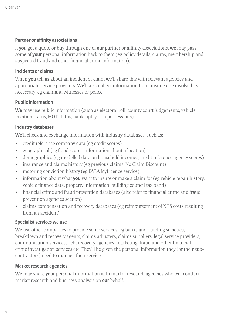#### **Partner or affinity associations**

If **you** get a quote or buy through one of **our** partner or affinity associations, **we** may pass some of **your** personal information back to them (eg policy details, claims, membership and suspected fraud and other financial crime information).

#### **Incidents or claims**

When **you** tell **us** about an incident or claim **w**e'll share this with relevant agencies and appropriate service providers. **We**'ll also collect information from anyone else involved as necessary, eg claimant, witnesses or police.

#### **Public information**

**We** may use public information (such as electoral roll, county court judgements, vehicle taxation status, MOT status, bankruptcy or repossessions).

#### **Industry databases**

**We**'ll check and exchange information with industry databases, such as:

- credit reference company data (eg credit scores)
- geographical (eg flood scores, information about a location)
- demographics (eg modelled data on household incomes, credit reference agency scores)
- insurance and claims history (eg previous claims, No Claim Discount)
- motoring conviction history (eg DVLA MyLicence service)
- information about what **you** want to insure or make a claim for (eg vehicle repair history, vehicle finance data, property information, building council tax band)
- financial crime and fraud prevention databases (also refer to financial crime and fraud prevention agencies section)
- claims compensation and recovery databases (eg reimbursement of NHS costs resulting from an accident)

#### **Specialist services we use**

**We** use other companies to provide some services, eg banks and building societies, breakdown and recovery agents, claims adjusters, claims suppliers, legal service providers, communication services, debt recovery agencies, marketing, fraud and other financial crime investigation services etc. They'll be given the personal information they (or their subcontractors) need to manage their service.

#### **Market research agencies**

**We** may share **your** personal information with market research agencies who will conduct market research and business analysis on **our** behalf.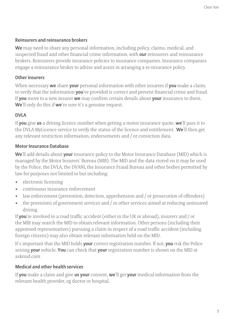#### **Reinsurers and reinsurance brokers**

**We** may need to share any personal information, including policy, claims, medical, and suspected fraud and other financial crime information, with **our** reinsurers and reinsurance brokers. Reinsurers provide insurance policies to insurance companies. Insurance companies engage a reinsurance broker to advise and assist in arranging a re-insurance policy.

#### **Other insurers**

When necessary **we** share **your** personal information with other insurers if **you** make a claim, to verify that the information **you**'ve provided is correct and prevent financial crime and fraud. If **you** move to a new insurer **we** may confirm certain details about **your** insurance to them. **We**'ll only do this if **we**'re sure it's a genuine request.

#### **DVLA**

If **you** give **us** a driving licence number when getting a motor insurance quote, **we**'ll pass it to the DVLA MyLicence service to verify the status of the licence and entitlement. **We**'ll then get any relevant restriction information, endorsements and / or conviction data.

#### **Motor Insurance Database**

**We**'ll add details about **your** insurance policy to the Motor Insurance Database (MID) which is managed by the Motor Insurers' Bureau (MIB). The MID and the data stored on it may be used by the Police, the DVLA, the DVANI, the Insurance Fraud Bureau and other bodies permitted by law for purposes not limited to but including:

- electronic licensing
- continuous insurance enforcement
- law enforcement (prevention, detection, apprehension and / or prosecution of offenders)
- the provisions of government services and / or other services aimed at reducing uninsured driving

If **you**'re involved in a road traffic accident (either in the UK or abroad), insurers and / or the MIB may search the MID to obtain relevant information. Other persons (including their appointed representatives) pursuing a claim in respect of a road traffic accident (including foreign citizens) may also obtain relevant information held on the MID.

It's important that the MID holds **your** correct registration number. If not, **you** risk the Police seizing **your** vehicle. **You** can check that **your** registration number is shown on the MID at askmid.com

#### **Medical and other health services**

If **you** make a claim and give **us your** consent, **we**'ll get **your** medical information from the relevant health provider, eg doctor or hospital.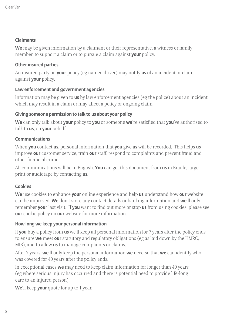#### **Claimants**

**We** may be given information by a claimant or their representative, a witness or family member, to support a claim or to pursue a claim against **your** policy.

#### **Other insured parties**

An insured party on **your** policy (eg named driver) may notify **us** of an incident or claim against **your** policy.

#### **Law enforcement and government agencies**

Information may be given to **us** by law enforcement agencies (eg the police) about an incident which may result in a claim or may affect a policy or ongoing claim.

#### **Giving someone permission to talk to us about your policy**

**We** can only talk about **your** policy to **you** or someone **we**'re satisfied that **you**'ve authorised to talk to **us**, on **your** behalf.

#### **Communications**

When **you** contact **us**, personal information that **you** give **us** will be recorded. This helps **us** improve **our** customer service, train **our** staff, respond to complaints and prevent fraud and other financial crime.

All communications will be in English. **You** can get this document from **us** in Braille, large print or audiotape by contacting **us**.

#### **Cookies**

**We** use cookies to enhance **your** online experience and help **us** understand how **our** website can be improved. **We** don't store any contact details or banking information and **we**'ll only remember **your** last visit. If **you** want to find out more or stop **us** from using cookies, please see **our** cookie policy on **our** website for more information.

#### **How long we keep your personal information**

If **you** buy a policy from **us** we'll keep all personal information for 7 years after the policy ends to ensure **we** meet **our** statutory and regulatory obligations (eg as laid down by the HMRC, MIB), and to allow **us** to manage complaints or claims.

After 7 years, **we**'ll only keep the personal information **we** need so that **we** can identify who was covered for 40 years after the policy ends.

In exceptional cases **we** may need to keep claim information for longer than 40 years (eg where serious injury has occurred and there is potential need to provide life-long care to an injured person).

**We**'ll keep **your** quote for up to 1 year.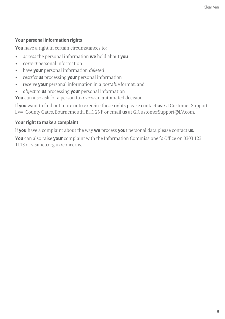#### **Your personal information rights**

**You** have a right in certain circumstances to:

- access the personal information **we** hold about **you**
- correct personal information
- have **your** personal information deleted
- restrict **us** processing **your** personal information
- receive **your** personal information in a portable format, and
- object to **us** processing **your** personal information

**You** can also ask for a person to review an automated decision.

If **you** want to find out more or to exercise these rights please contact **us**: GI Customer Support, LV=, County Gates, Bournemouth, BH1 2NF or email **us** at GICustomerSupport@LV.com.

#### **Your right to make a complaint**

If **you** have a complaint about the way **we** process **your** personal data please contact **us**. **You** can also raise **your** complaint with the Information Commissioner's Office on 0303 123 1113 or visit ico.org.uk/concerns.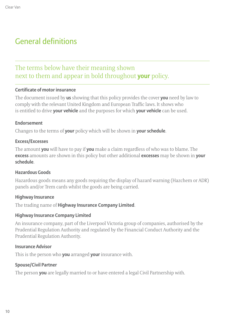### General definitions

### The terms below have their meaning shown next to them and appear in bold throughout **your** policy.

#### **Certificate of motor insurance**

The document issued by **us** showing that this policy provides the cover **you** need by law to comply with the relevant United Kingdom and European Traffic laws. It shows who is entitled to drive **your vehicle** and the purposes for which **your vehicle** can be used.

#### **Endorsement**

Changes to the terms of **your** policy which will be shown in **your schedule**.

#### **Excess/Excesses**

The amount **you** will have to pay if **you** make a claim regardless of who was to blame. The **excess** amounts are shown in this policy but other additional **excesses** may be shown in **your schedule**.

#### **Hazardous Goods**

Hazardous goods means any goods requiring the display of hazard warning (Hazchem or ADR) panels and/or Trem cards whilst the goods are being carried.

#### **Highway Insurance**

The trading name of **Highway Insurance Company Limited**.

#### **Highway Insurance Company Limited**

An insurance company, part of the Liverpool Victoria group of companies, authorised by the Prudential Regulation Authority and regulated by the Financial Conduct Authority and the Prudential Regulation Authority.

#### **Insurance Advisor**

This is the person who **you** arranged **your** insurance with.

#### **Spouse/Civil Partner**

The person **you** are legally married to or have entered a legal Civil Partnership with.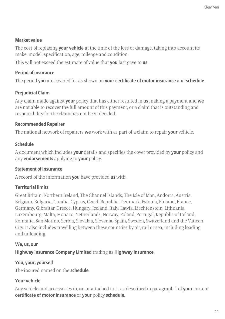#### **Market value**

The cost of replacing **your vehicle** at the time of the loss or damage, taking into account its make, model, specification, age, mileage and condition.

This will not exceed the estimate of value that **you** last gave to **us**.

#### **Period of insurance**

The period **you** are covered for as shown on **your certificate of motor insurance** and **schedule**.

#### **Prejudicial Claim**

Any claim made against **your** policy that has either resulted in **us** making a payment and **we** are not able to recover the full amount of this payment, or a claim that is outstanding and responsibility for the claim has not been decided.

#### **Recommended Repairer**

The national network of repairers **we** work with as part of a claim to repair **your** vehicle.

#### **Schedule**

A document which includes **your** details and specifies the cover provided by **your** policy and any **endorsements** applying to **your** policy.

#### **Statement of Insurance**

A record of the information **you** have provided **us** with.

#### **Territorial limits**

Great Britain, Northern Ireland, The Channel Islands, The Isle of Man, Andorra, Austria, Belgium, Bulgaria, Croatia, Cyprus, Czech Republic, Denmark, Estonia, Finland, France, Germany, Gibraltar, Greece, Hungary, Iceland, Italy, Latvia, Liechtenstein, Lithuania, Luxembourg, Malta, Monaco, Netherlands, Norway, Poland, Portugal, Republic of Ireland, Romania, San Marino, Serbia, Slovakia, Slovenia, Spain, Sweden, Switzerland and the Vatican City. It also includes travelling between these countries by air, rail or sea, including loading and unloading.

#### **We, us, our**

**Highway Insurance Company Limited** trading as **Highway Insurance**.

#### **You, your, yourself**

The insured named on the **schedule**.

#### **Your vehicle**

Any vehicle and accessories in, on or attached to it, as described in paragraph 1 of **your** current **certificate of motor insurance** or **your** policy **schedule**.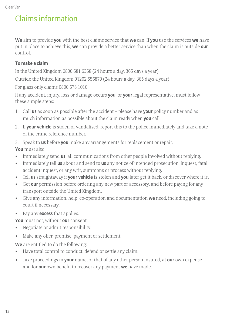### Claims information

**We** aim to provide **you** with the best claims service that **we** can. If **you** use the services **we** have put in place to achieve this, **we** can provide a better service than when the claim is outside **our** control.

#### **To make a claim**

In the United Kingdom 0800 681 6368 (24 hours a day, 365 days a year)

Outside the United Kingdom 01202 556879 (24 hours a day, 365 days a year)

For glass only claims 0800 678 1010

If any accident, injury, loss or damage occurs **you**, or **your** legal representative, must follow these simple steps:

- 1. Call **us** as soon as possible after the accident please have **your** policy number and as much information as possible about the claim ready when **you** call.
- 2. If **your vehicle** is stolen or vandalised, report this to the police immediately and take a note of the crime reference number.
- 3. Speak to **us** before **you** make any arrangements for replacement or repair.

**You** must also:

- Immediately send **us**, all communications from other people involved without replying.
- Immediately tell **us** about and send to **us** any notice of intended prosecution, inquest, fatal accident inquest, or any writ, summons or process without replying.
- Tell **us** straightaway if **your vehicle** is stolen and **you** later get it back, or discover where it is.
- Get **our** permission before ordering any new part or accessory, and before paying for any transport outside the United Kingdom.
- Give any information, help, co-operation and documentation **we** need, including going to court if necessary.
- Pay any **excess** that applies.

**You** must not, without **our** consent:

- Negotiate or admit responsibility.
- Make any offer, promise, payment or settlement.

**We** are entitled to do the following:

- Have total control to conduct, defend or settle any claim.
- Take proceedings in **your** name, or that of any other person insured, at **our** own expense and for **our** own benefit to recover any payment **we** have made.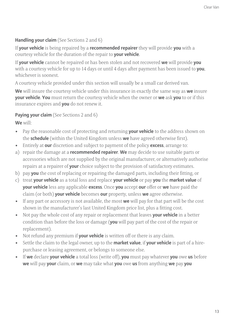#### **Handling your claim** (See Sections 2 and 6)

If **your vehicle** is being repaired by a **recommended repairer** they will provide **you** with a courtesy vehicle for the duration of the repair to **your vehicle**.

If **your vehicle** cannot be repaired or has been stolen and not recovered **we** will provide **you** with a courtesy vehicle for up to 14 days or until 4 days after payment has been issued to **you**, whichever is soonest.

A courtesy vehicle provided under this section will usually be a small car derived van.

**We** will insure the courtesy vehicle under this insurance in exactly the same way as **we** insure **your vehicle**. **You** must return the courtesy vehicle when the owner or **we** ask **you** to or if this insurance expires and **you** do not renew it.

#### **Paying your claim** (See Sections 2 and 6)

**We** will:

- Pay the reasonable cost of protecting and returning **your vehicle** to the address shown on the **schedule** (within the United Kingdom unless **we** have agreed otherwise first).
- Entirely at **our** discretion and subject to payment of the policy **excess**, arrange to:
- a) repair the damage at a **recommended repairer**. **We** may decide to use suitable parts or accessories which are not supplied by the original manufacturer, or alternatively authorise repairs at a repairer of **your** choice subject to the provision of satisfactory estimates.
- b) pay **you** the cost of replacing or repairing the damaged parts, including their fitting, or
- c) treat **your vehicle** as a total loss and replace **your vehicle** or pay **you** the **market value** of **your vehicle** less any applicable **excess**. Once **you** accept **our** offer or **we** have paid the claim (or both) **your vehicle** becomes **our** property, unless **we** agree otherwise.
- If any part or accessory is not available, the most **we** will pay for that part will be the cost shown in the manufacturer's last United Kingdom price list, plus a fitting cost.
- Not pay the whole cost of any repair or replacement that leaves **your vehicle** in a better condition than before the loss or damage (**you** will pay part of the cost of the repair or replacement).
- Not refund any premium if **your vehicle** is written off or there is any claim.
- Settle the claim to the legal owner, up to the **market value**, if **your vehicle** is part of a hirepurchase or leasing agreement, or belongs to someone else.
- If **we** declare **your vehicle** a total loss (write off), **you** must pay whatever **you** owe **us** before **we** will pay **your** claim, or **we** may take what **you** owe **us** from anything **we** pay **you**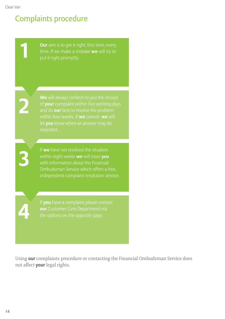### Complaints procedure

**Our** aim is to get it right, first time, every time. If we make a mistake **we** will try to

of **your** complaint within five working days let **you** know when an answer may be

If **we** have not resolved the situation within eight weeks **we** will issue **you** with information about the Financial Ombudsman Service which offers a free, independent complaint resolution service.

If **you** have a complaint please contact **our** Customer Care Department via

Using **our** complaints procedure or contacting the Financial Ombudsman Service does not affect **your** legal rights.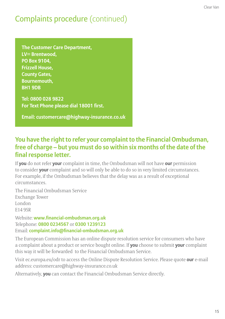### Complaints procedure (continued)

**The Customer Care Department,**  LV= Brentwood. **PO Box 9104, Frizzell House, County Gates, Bournemouth, BH1 9DB**

**Tel: 0800 028 9822 For Text Phone please dial 18001 first.**

**Email: customercare@highway-insurance.co.uk**

#### **You have the right to refer your complaint to the Financial Ombudsman, free of charge – but you must do so within six months of the date of the final response letter.**

If **you** do not refer **your** complaint in time, the Ombudsman will not have **our** permission to consider **your** complaint and so will only be able to do so in very limited circumstances. For example, if the Ombudsman believes that the delay was as a result of exceptional circumstances.

The Financial Ombudsman Service Exchange Tower London E14 9SR

Website: **www.financial-ombudsman.org.uk** Telephone: **0800 0234567** or **0300 1239123** Email: **complaint.info@financial-ombudsman.org.uk**

The European Commission has an online dispute resolution service for consumers who have a complaint about a product or service bought online. If **you** choose to submit **your** complaint this way it will be forwarded to the Financial Ombudsman Service.

Visit ec.europa.eu/odr to access the Online Dispute Resolution Service. Please quote **our** e-mail address: customercare@highway-insurance.co.uk

Alternatively, **you** can contact the Financial Ombudsman Service directly.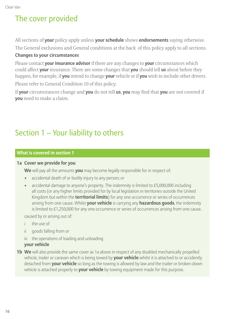### The cover provided

All sections of **your** policy apply unless **your schedule** shows **endorsements** saying otherwise. The General exclusions and General conditions at the back of this policy apply to all sections. **Changes to your circumstances**

#### Please contact **your insurance advisor** if there are any changes to **your** circumstances which could affect **your** insurance. There are some changes that **you** should tell **us** about before they happen, for example, if **you** intend to change **your** vehicle or if **you** wish to include other drivers. Please refer to General Condition 10 of this policy.

If **your** circumstances change and **you** do not tell **us**, **you** may find that **you** are not covered if **you** need to make a claim.

### Section 1 – Your liability to others

#### **What is covered in section 1**

#### **1a Cover we provide for you**

**We** will pay all the amounts **you** may become legally responsible for in respect of:

- accidental death of or bodily injury to any person; or
- accidental damage to anyone's property. The indemnity is limited to £5,000,000 including all costs (or any higher limits provided for by local legislation in territories outside the United Kingdom but within the **territorial limits**) for any one occurrence or series of occurrences arising from one cause. Whilst **your vehicle** is carrying any **hazardous goods**, the indemnity is limited to £1,250,000 for any one occurrence or series of occurrences arising from one cause.

caused by or arising out of:

- i the use of
- ii goods falling from or
- iii the operations of loading and unloading

#### **your vehicle**

**1b We** will also provide the same cover as 1a above in respect of any disabled mechanically propelled vehicle, trailer or caravan which is being towed by **your vehicle** whilst it is attached to or accidently detached from **your vehicle** so long as the towing is allowed by law and the trailer or broken-down vehicle is attached properly to **your vehicle** by towing equipment made for this purpose.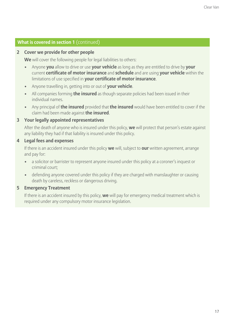#### **What is covered in section 1** (continued)

#### **2 Cover we provide for other people**

**We** will cover the following people for legal liabilities to others:

- Anyone **you** allow to drive or use **your vehicle** as long as they are entitled to drive by **your** current **certificate of motor insurance** and **schedule** and are using **your vehicle** within the limitations of use specified in **your certificate of motor insurance**.
- Anyone travelling in, getting into or out of **your vehicle**.
- All companies forming **the insured** as though separate policies had been issued in their individual names.
- Any principal of **the insured** provided that **the insured** would have been entitled to cover if the claim had been made against **the insured**.

#### **3 Your legally appointed representatives**

 After the death of anyone who is insured under this policy, **we** will protect that person's estate against any liability they had if that liability is insured under this policy.

#### **4 Legal fees and expenses**

 If there is an accident insured under this policy **we** will, subject to **our** written agreement, arrange and pay for:

- a solicitor or barrister to represent anyone insured under this policy at a coroner's inquest or criminal court;
- defending anyone covered under this policy if they are charged with manslaughter or causing death by careless, reckless or dangerous driving.

#### **5 Emergency Treatment**

 If there is an accident insured by this policy, **we** will pay for emergency medical treatment which is required under any compulsory motor insurance legislation.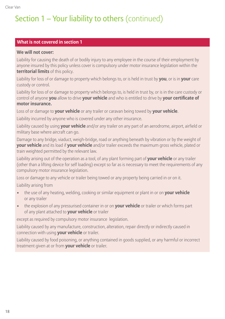### Section 1 – Your liability to others (continued)

#### **What is not covered in section 1**

#### **We will not cover:**

Liability for causing the death of or bodily injury to any employee in the course of their employment by anyone insured by this policy unless cover is compulsory under motor insurance legislation within the **territorial limits** of this policy.

Liability for loss of or damage to property which belongs to, or is held in trust by **you**, or is in **your** care custody or control.

Liability for loss of or damage to property which belongs to, is held in trust by, or is in the care custody or control of anyone **you** allow to drive **your vehicle** and who is entitled to drive by **your certificate of motor insurance.**

Loss of or damage to **your vehicle** or any trailer or caravan being towed by **your vehicle**.

Liability incurred by anyone who is covered under any other insurance.

Liability caused by using **your vehicle** and/or any trailer on any part of an aerodrome, airport, airfield or military base where aircraft can go.

Damage to any bridge, viaduct, weigh-bridge, road or anything beneath by vibration or by the weight of **your vehicle** and its load if **your vehicle** and/or trailer exceeds the maximum gross vehicle, plated or train weighted permitted by the relevant law.

Liability arising out of the operation as a tool, of any plant forming part of **your vehicle** or any trailer (other than a lifting device for self loading) except so far as is necessary to meet the requirements of any compulsory motor insurance legislation.

Loss or damage to any vehicle or trailer being towed or any property being carried in or on it.

Liability arising from

- the use of any heating, welding, cooking or similar equipment or plant in or on **your vehicle** or any trailer
- the explosion of any pressurised container in or on **your vehicle** or trailer or which forms part of any plant attached to **your vehicle** or trailer

except as required by compulsory motor insurance legislation.

Liability caused by any manufacture, construction, alteration, repair directly or indirectly caused in connection with using **your vehicle** or trailer.

Liability caused by food poisoning, or anything contained in goods supplied, or any harmful or incorrect treatment given at or from **your vehicle** or trailer.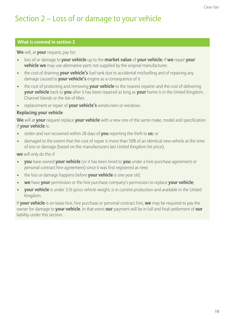### Section 2 – Loss of or damage to your vehicle

#### **What is covered in section 2**

**We** will, at **your** request, pay for:

- loss of or damage to **your vehicle** up to the **market value** of **your vehicle**; if **we** repair **your vehicle we** may use alternative parts not supplied by the original manufacturer.
- the cost of draining **your vehicle's** fuel tank due to accidental misfuelling and of repairing any damage caused to **your vehicle's** engine as a consequence of it
- the cost of protecting and removing **your vehicle** to the nearest repairer and the cost of delivering **your vehicle** back to **you** after it has been repaired as long as **your** home is in the United Kingdom, Channel Islands or the Isle of Man.
- replacement or repair of **your vehicle's** windscreen or windows

#### **Replacing your vehicle**

**We** will at **your** request replace **your vehicle** with a new one of the same make, model and specification if **your vehicle** is:

- stolen and not recovered within 28 days of **you** reporting the theft to **us**; or
- damaged to the extent that the cost of repair is more than 50% of an identical new vehicle at the time of loss or damage (based on the manufacturers last United Kingdom list price).

**we** will only do this if

- **you** have owned **your vehicle** (or it has been hired to **you** under a hire-purchase agreement or personal contract hire agreement) since it was first registered as new;
- the loss or damage happens before **your vehicle** is one year old;
- **we** have **your** permission or the hire purchase company's permission to replace **your vehicle**;
- **vour vehicle** is under 3.5t gross vehicle weight, is in current production and available in the United Kingdom.

If **your vehicle** is on lease hire, hire purchase or personal contract hire, **we** may be required to pay the owner for damage to **your vehicle**. In that event **our** payment will be in full and final settlement of **our** liability under this section.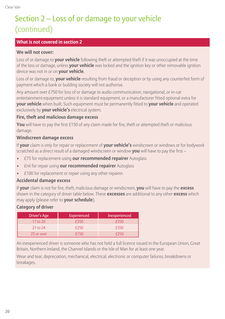## Section 2 – Loss of or damage to your vehicle (continued)

#### **What is not covered in section 2**

#### **We will not cover:**

Loss of or damage to **your vehicle** following theft or attempted theft if it was unoccupied at the time of the loss or damage, unless **your vehicle** was locked and the ignition key or other removable ignition device was not in or on **your vehicle**.

Loss of or damage to, **your vehicle** resulting from fraud or deception or by using any counterfeit form of payment which a bank or building society will not authorise.

Any amount over £750 for loss of or damage to audio communication, navigational, or in-car entertainment equipment unless it is standard equipment, or a manufacturer fitted optional extra for **your vehicle** when built. Such equipment must be permanently fitted to **your vehicle** and operated exclusively by **your vehicle's** electrical system.

#### **Fire, theft and malicious damage excess**

**You** will have to pay the first £150 of any claim made for fire, theft or attempted theft or malicious damage.

#### **Windscreen damage excess**

If **your** claim is only for repair or replacement of **your vehicle's** windscreen or windows or for bodywork scratched as a direct result of a damaged windscreen or window **you** will have to pay the first –

- £75 for replacement using **our recommended repairer** Autoglass
- £nil for repair using **our recommended repairer** Autoglass
- £100 for replacement or repair using any other repairer.

#### **Accidental damage excess**

If **your** claim is not for fire, theft, malicious damage or windscreen, **you** will have to pay the **excess** shown in the category of driver table below. These **excesses** are additional to any other **excess** which may apply (please refer to **your schedule**).

#### **Category of driver**

| <b>Driver's Age</b> | Experienced | Inexperienced |
|---------------------|-------------|---------------|
| 17 to $201$         | £350        | £350          |
| 21 to 24            | £250        | £350          |
| 25 or over          | £150        | ソらい           |

An inexperienced driver is someone who has not held a full licence issued in the European Union, Great Britain, Northern Ireland, the Channel Islands or the Isle of Man for at least one year.

Wear and tear, depreciation, mechanical, electrical, electronic or computer failures, breakdowns or breakages.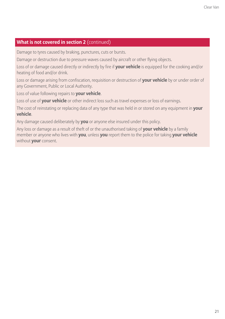#### **What is not covered in section 2** (continued)

Damage to tyres caused by braking, punctures, cuts or bursts.

Damage or destruction due to pressure waves caused by aircraft or other flying objects.

Loss of or damage caused directly or indirectly by fire if **your vehicle** is equipped for the cooking and/or heating of food and/or drink.

Loss or damage arising from confiscation, requisition or destruction of **your vehicle** by or under order of any Government, Public or Local Authority.

Loss of value following repairs to **your vehicle**.

Loss of use of **your vehicle** or other indirect loss such as travel expenses or loss of earnings.

The cost of reinstating or replacing data of any type that was held in or stored on any equipment in **your vehicle**.

Any damage caused deliberately by **you** or anyone else insured under this policy.

Any loss or damage as a result of theft of or the unauthorised taking of **your vehicle** by a family member or anyone who lives with **you**, unless **you** report them to the police for taking **your vehicle** without **your** consent.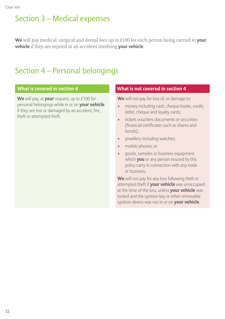### Section 3 – Medical expenses

**We** will pay medical, surgical and dental fees up to £100 for each person being carried in **your vehicle** if they are injured in an accident involving **your vehicle**.

### Section 4 – Personal belongings

**We** will pay, at **your** request, up to £100 for personal belongings while in or on **your vehicle** if they are lost or damaged by an accident, fire, theft or attempted theft.

#### **What is covered in section 4 What is not covered in section 4**

**We** will not pay for loss of, or damage to:

- money including cash, cheque books, credit, debit, cheque and loyalty cards;
- tickets vouchers documents or securities (financial certificates such as shares and bonds);
- jewellery including watches;
- mobile phones; or
- goods, samples or business equipment which **you** or any person insured by this policy carry in connection with any trade or business.

**We** will not pay for any loss following theft or attempted theft if **your vehicle** was unoccupied at the time of the loss, unless **your vehicle** was locked and the ignition key or other removable ignition device was not in or on **your vehicle**.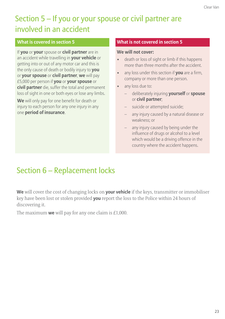### Section 5 – If you or your spouse or civil partner are involved in an accident

If **you** or **your** spouse or **civil partner** are in an accident while travelling in **your vehicle** or getting into or out of any motor car and this is the only cause of death or bodily injury to **you** or **your spouse** or **civil partner**, **we** will pay £5,000 per person if **you** or **your spouse** or **civil partner** die, suffer the total and permanent loss of sight in one or both eyes or lose any limbs.

**We** will only pay for one benefit for death or injury to each person for any one injury in any one **period of insurance**.

#### **What is covered in section 5 What is not covered in section 5**

#### **We will not cover:**

- death or loss of sight or limb if this happens more than three months after the accident.
- any loss under this section if **you** are a firm, company or more than one person.
- any loss due to:
	- deliberately injuring **yourself** or **spouse** or **civil partner**;
	- suicide or attempted suicide;
	- any injury caused by a natural disease or weakness; or
	- any injury caused by being under the influence of drugs or alcohol to a level which would be a driving offence in the country where the accident happens.

### Section 6 – Replacement locks

**We** will cover the cost of changing locks on **your vehicle** if the keys, transmitter or immobiliser key have been lost or stolen provided **you** report the loss to the Police within 24 hours of discovering it.

The maximum **we** will pay for any one claim is £1,000.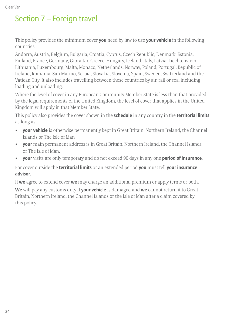### Section 7 – Foreign travel

This policy provides the minimum cover **you** need by law to use **your vehicle** in the following countries:

Andorra, Austria, Belgium, Bulgaria, Croatia, Cyprus, Czech Republic, Denmark, Estonia, Finland, France, Germany, Gibraltar, Greece, Hungary, Iceland, Italy, Latvia, Liechtenstein, Lithuania, Luxembourg, Malta, Monaco, Netherlands, Norway, Poland, Portugal, Republic of Ireland, Romania, San Marino, Serbia, Slovakia, Slovenia, Spain, Sweden, Switzerland and the Vatican City. It also includes travelling between these countries by air, rail or sea, including loading and unloading.

Where the level of cover in any European Community Member State is less than that provided by the legal requirements of the United Kingdom, the level of cover that applies in the United Kingdom will apply in that Member State.

This policy also provides the cover shown in the **schedule** in any country in the **territorial limits** as long as:

- **your vehicle** is otherwise permanently kept in Great Britain, Northern Ireland, the Channel Islands or The Isle of Man
- **your** main permanent address is in Great Britain, Northern Ireland, the Channel Islands or The Isle of Man,
- **your** visits are only temporary and do not exceed 90 days in any one **period of insurance**.

For cover outside the **territorial limits** or an extended period **you** must tell **your insurance advisor**.

If **we** agree to extend cover **we** may charge an additional premium or apply terms or both.

**We** will pay any customs duty if **your vehicle** is damaged and **we** cannot return it to Great Britain, Northern Ireland, the Channel Islands or the Isle of Man after a claim covered by this policy.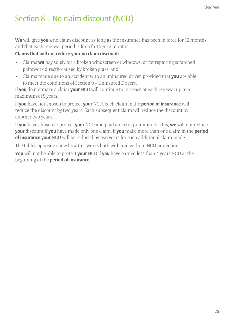### Section 8 – No claim discount (NCD)

**We** will give **you** a no claim discount as long as the insurance has been in force for 12 months and that each renewal period is for a further 12 months.

#### **Claims that will not reduce your no claim discount:**

- Claims **we** pay solely for a broken windscreen or windows, or for repairing scratched paintwork directly caused by broken glass; and
- Claims made due to an accident with an uninsured driver, provided that **you** are able to meet the conditions of Section 9 – Uninsured Drivers.

If **you** do not make a claim **your** NCD will continue to increase at each renewal up to a maximum of 9 years.

If **you** have not chosen to protect **your** NCD, each claim in the **period of insurance** will reduce the discount by two years. Each subsequent claim will reduce the discount by another two years.

If **you** have chosen to protect **your** NCD and paid an extra premium for this, **we** will not reduce **your** discount if **you** have made only one claim. If **you** make more than one claim in the **period of insurance your** NCD will be reduced by two years for each additional claim made.

The tables opposite show how this works both with and without NCD protection.

**You** will not be able to protect **your** NCD if **you** have earned less than 4 years NCD at the beginning of the **period of insurance**.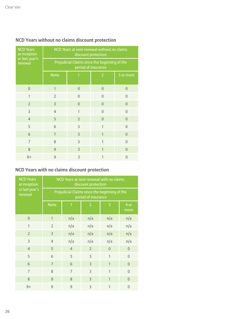| <b>NCD Years</b><br>at inception<br>or last year's | NCD Years at next renewal without no claims<br>discount protection   |                |              |                |  |  |
|----------------------------------------------------|----------------------------------------------------------------------|----------------|--------------|----------------|--|--|
| renewal                                            | Prejudicial Claims since the beginning of the<br>period of insurance |                |              |                |  |  |
|                                                    | <b>None</b>                                                          | 1              | 2            | 3 or more      |  |  |
| $\overline{0}$                                     | $\mathbf{1}$                                                         | $\overline{0}$ | $\theta$     | $\overline{0}$ |  |  |
| $\mathbf{1}$                                       | $\overline{2}$                                                       | $\overline{0}$ | $\theta$     | $\overline{0}$ |  |  |
| $\overline{2}$                                     | 3                                                                    | $\theta$       | $\theta$     | $\overline{0}$ |  |  |
| 3                                                  | $\overline{4}$                                                       | $\mathbf{1}$   | $\theta$     | $\overline{0}$ |  |  |
| $\overline{4}$                                     | 5                                                                    | $\overline{2}$ | $\theta$     | $\overline{0}$ |  |  |
| 5                                                  | 6                                                                    | 3              | 1            | $\overline{0}$ |  |  |
| 6                                                  | $\overline{7}$                                                       | 3              | $\mathbf{1}$ | $\overline{0}$ |  |  |
| $\overline{7}$                                     | 8                                                                    | 3              | 1            | $\overline{0}$ |  |  |
| 8                                                  | 9                                                                    | 3              | 1            | $\overline{0}$ |  |  |
| $9+$                                               | 9                                                                    | 3              | 1            | $\theta$       |  |  |

#### **NCD Years without no claims discount protection**

#### **NCD Years with no claims discount protection**

| <b>NCD Years</b><br>at inception | NCD Years at next renewal with no claims<br>discount protection      |                |                |              |                                    |
|----------------------------------|----------------------------------------------------------------------|----------------|----------------|--------------|------------------------------------|
| or last year's<br>renewal        | Prejudicial Claims since the beginning of the<br>period of insurance |                |                |              |                                    |
|                                  | <b>None</b>                                                          | $\overline{1}$ | $\overline{2}$ | 3            | $\overline{4 \text{ or }}$<br>more |
| $\overline{0}$                   | $\mathbf{1}$                                                         | n/a            | n/a            | n/a          | n/a                                |
| 1                                | $\overline{2}$                                                       | n/a            | n/a            | n/a          | n/a                                |
| $\overline{2}$                   | 3                                                                    | n/a            | n/a            | n/a          | n/a                                |
| 3                                | $\overline{4}$                                                       | n/a            | n/a            | n/a          | n/a                                |
| $\overline{4}$                   | 5                                                                    | $\overline{4}$ | $\overline{2}$ | $\Omega$     | $\theta$                           |
| 5                                | 6                                                                    | 5              | 3              | $\mathbf{1}$ | $\overline{0}$                     |
| 6                                | $\overline{7}$                                                       | 6              | 3              | $\mathbf{1}$ | $\overline{0}$                     |
| $\overline{7}$                   | 8                                                                    | $\overline{7}$ | 3              | 1            | $\overline{0}$                     |
| 8                                | $\overline{9}$                                                       | 8              | 3              | $\mathbf{1}$ | $\Omega$                           |
| $9+$                             | 9                                                                    | 9              | 3              | 1            | $\overline{0}$                     |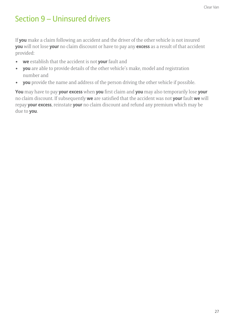### Section 9 – Uninsured drivers

If **you** make a claim following an accident and the driver of the other vehicle is not insured **you** will not lose **your** no claim discount or have to pay any **excess** as a result of that accident provided:

- **we** establish that the accident is not **your** fault and
- **you** are able to provide details of the other vehicle's make, model and registration number and
- **you** provide the name and address of the person driving the other vehicle if possible.

**You** may have to pay **your excess** when **you** first claim and **you** may also temporarily lose **your** no claim discount. If subsequently **we** are satisfied that the accident was not **your** fault **we** will repay **your excess**, reinstate **your** no claim discount and refund any premium which may be due to **you**.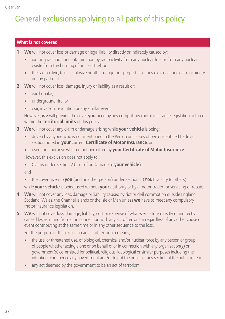## General exclusions applying to all parts of this policy

#### **What is not covered**

- **1 We** will not cover loss or damage or legal liability directly or indirectly caused by:
	- ionising radiation or contamination by radioactivity from any nuclear fuel or from any nuclear waste from the burning of nuclear fuel; or
	- the radioactive, toxic, explosive or other dangerous properties of any explosive nuclear machinery or any part of it.
- **2 We** will not cover loss, damage, injury or liability as a result of:
	- earthquake;
	- underground fire; or
	- war, invasion, revolution or any similar event.

 However, **we** will provide the cover **you** need by any compulsory motor insurance legislation in force within the **territorial limits** of this policy.

- **3 We** will not cover any claim or damage arising while **your vehicle** is being:
	- driven by anyone who is not mentioned in the Person or classes of persons entitled to drive section noted in **your** current **Certificate of Motor Insurance**; or
	- used for a purpose which is not permitted by **your Certificate of Motor Insurance**.

However, this exclusion does not apply to:

• Claims under Section 2 (Loss of or Damage to **your vehicle**)

and

• the cover given to **you** (and no other person) under Section 1 (**Your** liability to others)

while **your vehicle** is being used without **your** authority or by a motor trader for servicing or repair.

- **4 We** will not cover any loss, damage or liability caused by riot or civil commotion outside England, Scotland, Wales, the Channel Islands or the Isle of Man unless **we** have to meet any compulsory motor insurance legislation.
- **5 We** will not cover loss, damage, liability, cost or expense of whatever nature directly or indirectly caused by, resulting from or in connection with any act of terrorism regardless of any other cause or event contributing at the same time or in any other sequence to the loss.

For the purpose of this exclusion an act of terrorism means;

- the use, or threatened use, of biological, chemical and/or nuclear force by any person or group of people whether acting alone or on behalf of or in connection with any organisation(s) or government(s) committed for political, religious, ideological or similar purposes including the intention to influence any government and/or to put the public or any section of the public in fear.
- any act deemed by the government to be an act of terrorism.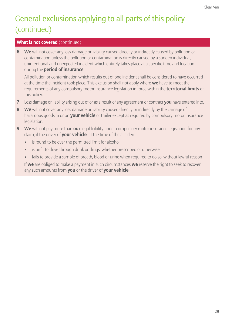### General exclusions applying to all parts of this policy (continued)

#### **What is not covered** (continued)

**6 We** will not cover any loss damage or liability caused directly or indirectly caused by pollution or contamination unless the pollution or contamination is directly caused by a sudden individual, unintentional and unexpected incident which entirely takes place at a specific time and location during the **period of insurance**.

 All pollution or contamination which results out of one incident shall be considered to have occurred at the time the incident took place. This exclusion shall not apply where **we** have to meet the requirements of any compulsory motor insurance legislation in force within the **territorial limits** of this policy.

- **7** Loss damage or liability arising out of or as a result of any agreement or contract **you** have entered into.
- **8 We** will not cover any loss damage or liability caused directly or indirectly by the carriage of hazardous goods in or on **your vehicle** or trailer except as required by compulsory motor insurance legislation.
- **9 We** will not pay more than **our** legal liability under compulsory motor insurance legislation for any claim, if the driver of **your vehicle**, at the time of the accident:
	- is found to be over the permitted limit for alcohol
	- is unfit to drive through drink or drugs, whether prescribed or otherwise
	- fails to provide a sample of breath, blood or urine when required to do so, without lawful reason

If **we** are obliged to make a payment in such circumstances **we** reserve the right to seek to recover any such amounts from **you** or the driver of **your vehicle**.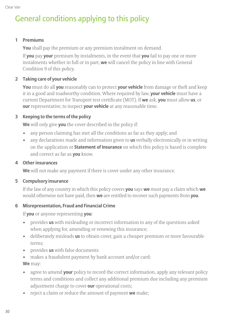### General conditions applying to this policy

#### **1 Premiums**

**You** shall pay the premium or any premium instalment on demand.

 If **you** pay **your** premium by instalments, in the event that **you** fail to pay one or more instalments whether in full or in part, **we** will cancel the policy in line with General Condition 9 of this policy.

#### **2 Taking care of your vehicle**

 **You** must do all **you** reasonably can to protect **your vehicle** from damage or theft and keep it in a good and roadworthy condition. Where required by law, **your vehicle** must have a current Department for Transport test certificate (MOT). If **we** ask, **you** must allow **us**, or **our** representative, to inspect **your vehicle** at any reasonable time.

#### **3 Keeping to the terms of the policy**

**We** will only give **you** the cover described in the policy if:

- any person claiming has met all the conditions as far as they apply; and
- any declarations made and information given to **us** verbally electronically or in writing on the application or **Statement of Insurance** on which this policy is based is complete and correct as far as **you** know.

#### **4 Other insurances**

**We** will not make any payment if there is cover under any other insurance.

#### **5 Compulsory insurance**

 If the law of any country in which this policy covers **you** says **we** must pay a claim which **we** would otherwise not have paid, then **we** are entitled to recover such payments from **you**.

#### **6 Misrepresentation, Fraud and Financial Crime**

If **you** or anyone representing **you**:

- provides **us** with misleading or incorrect information to any of the questions asked when applying for, amending or renewing this insurance;
- deliberately misleads **us** to obtain cover, gain a cheaper premium or more favourable terms;
- provides **us** with false documents
- makes a fraudulent payment by bank account and/or card;

**We** may:

- agree to amend **your** policy to record the correct information, apply any relevant policy terms and conditions and collect any additional premium due including any premium adjustment charge to cover **our** operational costs;
- reject a claim or reduce the amount of payment **we** make;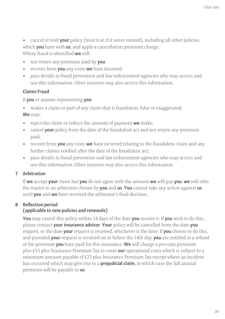• cancel or void **your** policy (treat it as if it never existed), including all other policies which **you** have with **us**, and apply a cancellation premium charge. Where fraud is identified **we** will:

- not return any premium paid by **you**.
- recover from **you** any costs **we** have incurred.
- pass details to fraud prevention and law enforcement agencies who may access and use this information. Other insurers may also access this information.

#### **Claims Fraud**

If **you** or anyone representing **you**:

- makes a claim or part of any claim that is fraudulent, false or exaggerated; **We** may:
- reject the claim or reduce the amount of payment **we** make;
- cancel **your** policy from the date of the fraudulent act and not return any premium paid;
- recover from **you** any costs **we** have incurred relating to the fraudulent claim and any further claims notified after the date of the fraudulent act;
- pass details to fraud prevention and law enforcement agencies who may access and use this information. Other insurers may also access this information.

#### **7 Arbitration**

 If **we** accept **your** claim but **you** do not agree with the amount **we** will pay **you**, **we** will refer the matter to an arbitrator chosen by **you** and **us**. **You** cannot take any action against **us** until **you** and **we** have received the arbitrator's final decision.

#### **8 Reflection period**

#### **(applicable to new policies and renewals)**

 **You** may cancel this policy within 14 days of the date **you** receive it. If **you** wish to do this, please contact **your insurance advisor**. **Your** policy will be cancelled from the date **you** request, or the date **your** request is received, whichever is the later. If **you** choose to do this, and provided **your** request is received on or before the 14th day, **you** are entitled to a refund of the premium **you** have paid for this insurance. **We** will charge a pro-rata premium plus £15 plus Insurance Premium Tax to cover **our** operational costs which is subject to a minimum amount payable of  $E25$  plus Insurance Premium Tax except where an incident has occurred which may give rise to a **prejudicial claim**, in which case the full annual premium will be payable to **us**.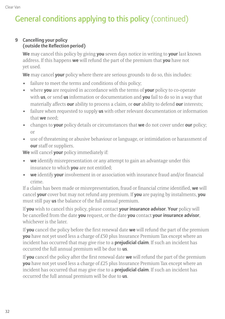### General conditions applying to this policy (continued)

#### **9 Cancelling your policy (outside the Reflection period)**

 **We** may cancel this policy by giving **you** seven days notice in writing to **your** last known address. If this happens **we** will refund the part of the premium that **you** have not yet used.

**We** may cancel **your** policy where there are serious grounds to do so, this includes:

- failure to meet the terms and conditions of this policy;
- where **you** are required in accordance with the terms of **your** policy to co-operate with **us**, or send **us** information or documentation and **you** fail to do so in a way that materially affects **our** ability to process a claim, or **our** ability to defend **our** interests;
- failure when requested to supply **us** with other relevant documentation or information that **we** need;
- changes to **your** policy details or circumstances that **we** do not cover under **our** policy; or
- use of threatening or abusive behaviour or language, or intimidation or harassment of **our** staff or suppliers.

**We** will cancel **your** policy immediately if:

- **we** identify misrepresentation or any attempt to gain an advantage under this insurance to which **you** are not entitled;
- **we** identify **your** involvement in or association with insurance fraud and/or financial crime.

 If a claim has been made or misrepresentation, fraud or financial crime identified, **we** will cancel **your** cover but may not refund any premium. If **you** are paying by instalments, **you** must still pay **us** the balance of the full annual premium.

 If **you** wish to cancel this policy, please contact **your insurance advisor**. **Your** policy will be cancelled from the date **you** request, or the date **you** contact **your insurance advisor**, whichever is the later.

 If **you** cancel the policy before the first renewal date **we** will refund the part of the premium **you** have not yet used less a charge of £50 plus Insurance Premium Tax except where an incident has occurred that may give rise to a **prejudicial claim**. If such an incident has occurred the full annual premium will be due to **us**.

 If **you** cancel the policy after the first renewal date **we** will refund the part of the premium **you** have not yet used less a charge of £25 plus Insurance Premium Tax except where an incident has occurred that may give rise to a **prejudicial claim**. If such an incident has occurred the full annual premium will be due to **us**.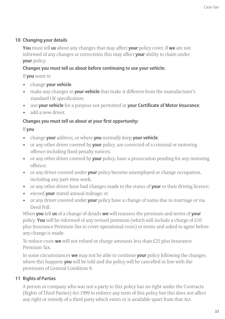#### **10 Changing your details**

 **You** must tell **us** about any changes that may affect **your** policy cover. If **we** are not informed of any changes or corrections this may affect **your** ability to claim under **your** policy.

#### **Changes you must tell us about before continuing to use your vehicle:**

If **you** want to

- change **your vehicle**
- make any changes to **your vehicle** that make it different from the manufacturer's standard UK specification;
- use **your vehicle** for a purpose not permitted in **your Certificate of Motor Insurance**;
- add a new driver.

#### **Changes you must tell us about at your first opportunity:**

#### If **you**

- change **your** address, or where **you** normally keep **your vehicle**;
- or any other driver covered by **your** policy, are convicted of a criminal or motoring offence including fixed penalty notices;
- or any other driver covered by **your** policy, have a prosecution pending for any motoring offence;
- or any driver covered under **your** policy become unemployed or change occupation, including any part-time work;
- or any other driver have had changes made to the status of **your** or their driving licence;
- exceed **your** stated annual mileage; or
- or any driver covered under **your** policy have a change of name due to marriage or via Deed Poll.

 When **you** tell **us** of a change of details **we** will reassess the premium and terms of **your** policy. **You** will be informed of any revised premium (which will include a charge of  $\pounds 10$ plus Insurance Premium Tax to cover operational costs) or terms and asked to agree before any change is made.

 To reduce costs **we** will not refund or charge amounts less than £25 plus Insurance Premium Tax.

 In some circumstances **we** may not be able to continue **your** policy following the changes, where this happens **you** will be told and the policy will be cancelled in line with the provisions of General Condition 9.

#### **11 Rights of Parties**

 A person or company who was not a party to this policy has no right under the Contracts (Rights of Third Parties) Act 1999 to enforce any term of this policy but this does not affect any right or remedy of a third party which exists or is available apart from that Act.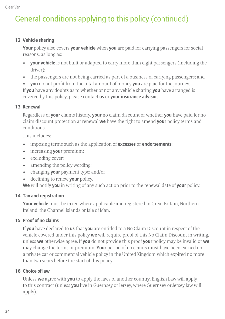### General conditions applying to this policy (continued)

#### **12 Vehicle sharing**

 **Your** policy also covers **your vehicle** when **you** are paid for carrying passengers for social reasons, as long as:

- **your vehicle** is not built or adapted to carry more than eight passengers (including the driver);
- the passengers are not being carried as part of a business of carrying passengers; and
- **you** do not profit from the total amount of money **you** are paid for the journey.

 If **you** have any doubts as to whether or not any vehicle sharing **you** have arranged is covered by this policy, please contact **us** or **your insurance advisor**.

#### **13 Renewal**

 Regardless of **your** claims history, **your** no claim discount or whether **you** have paid for no claim discount protection at renewal **we** have the right to amend **your** policy terms and conditions.

This includes:

- imposing terms such as the application of **excesses** or **endorsements**;
- increasing **your** premium;
- excluding cover:
- amending the policy wording;
- changing **your** payment type; and/or
- declining to renew **your** policy.

**We** will notify **you** in writing of any such action prior to the renewal date of **your** policy.

#### **14 Tax and registration**

 **Your vehicle** must be taxed where applicable and registered in Great Britain, Northern Ireland, the Channel Islands or Isle of Man.

#### **15 Proof of no claims**

 If **you** have declared to **us** that **you** are entitled to a No Claim Discount in respect of the vehicle covered under this policy **we** will require proof of this No Claim Discount in writing, unless **we** otherwise agree. If **you** do not provide this proof **your** policy may be invalid or **we** may change the terms or premium. **Your** period of no claims must have been earned on a private car or commercial vehicle policy in the United Kingdom which expired no more than two years before the start of this policy.

#### **16 Choice of law**

 Unless **we** agree with **you** to apply the laws of another country, English Law will apply to this contract (unless **you** live in Guernsey or Jersey, where Guernsey or Jersey law will apply).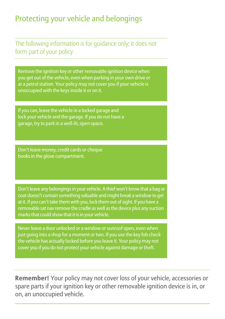### Protecting your vehicle and belongings

The following information is for guidance only; it does not form part of your policy

Remove the ignition key or other removable ignition device when you get out of the vehicle, even when parking in your own drive or at a petrol station. Your policy may not cover you if your vehicle is unoccupied with the keys inside it or on it.

If you can, leave the vehicle in a locked garage and lock your vehicle and the garage. If you do not have a garage, try to park in a well-lit, open space.

Don't leave money, credit cards or cheque books in the glove compartment.

Don't leave any belongings in your vehicle. A thief won't know that a bag or coat doesn't contain something valuable and might break a window to get at it. If you can't take them with you, lock them out of sight. If you have a removable sat nav remove the cradle as well as the device plus any suction marks that could show that it is in your vehicle.

Never leave a door unlocked or a window or sunroof open, even when just going into a shop for a moment or two. If you use the key fob check the vehicle has actually locked before you leave it. Your policy may not cover you if you do not protect your vehicle against damage or theft.

**Remember!** Your policy may not cover loss of your vehicle, accessories or spare parts if your ignition key or other removable ignition device is in, or on, an unoccupied vehicle.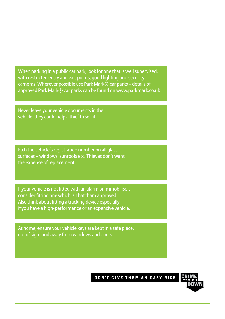When parking in a public car park, look for one that is well supervised, with restricted entry and exit points, good lighting and security cameras. Wherever possible use Park Mark® car parks – details of approved Park Mark® car parks can be found on www.parkmark.co.uk

Never leave your vehicle documents in the vehicle; they could help a thief to sell it.

Etch the vehicle's registration number on all glass surfaces – windows, sunroofs etc. Thieves don't want the expense of replacement.

If your vehicle is not fitted with an alarm or immobiliser, consider fitting one which is Thatcham approved. Also think about fitting a tracking device especially if you have a high-performance or an expensive vehicle.

At home, ensure your vehicle keys are kept in a safe place, out of sight and away from windows and doors.

DON'T GIVE THEM AN EASY RIDE

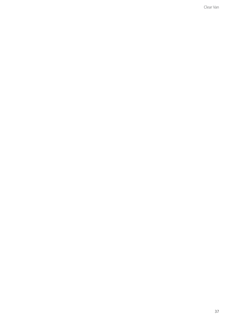Clear Van